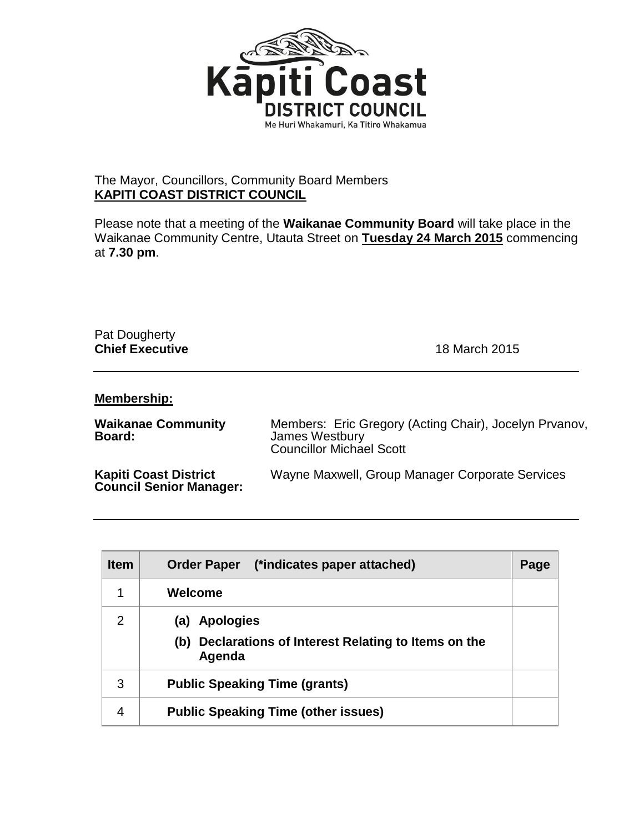

## The Mayor, Councillors, Community Board Members **KAPITI COAST DISTRICT COUNCIL**

Please note that a meeting of the **Waikanae Community Board** will take place in the Waikanae Community Centre, Utauta Street on **Tuesday 24 March 2015** commencing at **7.30 pm**.

## Pat Dougherty **Chief Executive** 18 March 2015

## **Membership:**

| <b>Waikanae Community</b><br>Board:                            | Members: Eric Gregory (Acting Chair), Jocelyn Prvanov,<br>James Westbury<br><b>Councillor Michael Scott</b> |
|----------------------------------------------------------------|-------------------------------------------------------------------------------------------------------------|
| <b>Kapiti Coast District</b><br><b>Council Senior Manager:</b> | Wayne Maxwell, Group Manager Corporate Services                                                             |

| <b>Item</b> | (*indicates paper attached)<br><b>Order Paper</b>                                   | Page |
|-------------|-------------------------------------------------------------------------------------|------|
| 1           | Welcome                                                                             |      |
| 2           | (a) Apologies<br>Declarations of Interest Relating to Items on the<br>(b)<br>Agenda |      |
| 3           | <b>Public Speaking Time (grants)</b>                                                |      |
| 4           | <b>Public Speaking Time (other issues)</b>                                          |      |